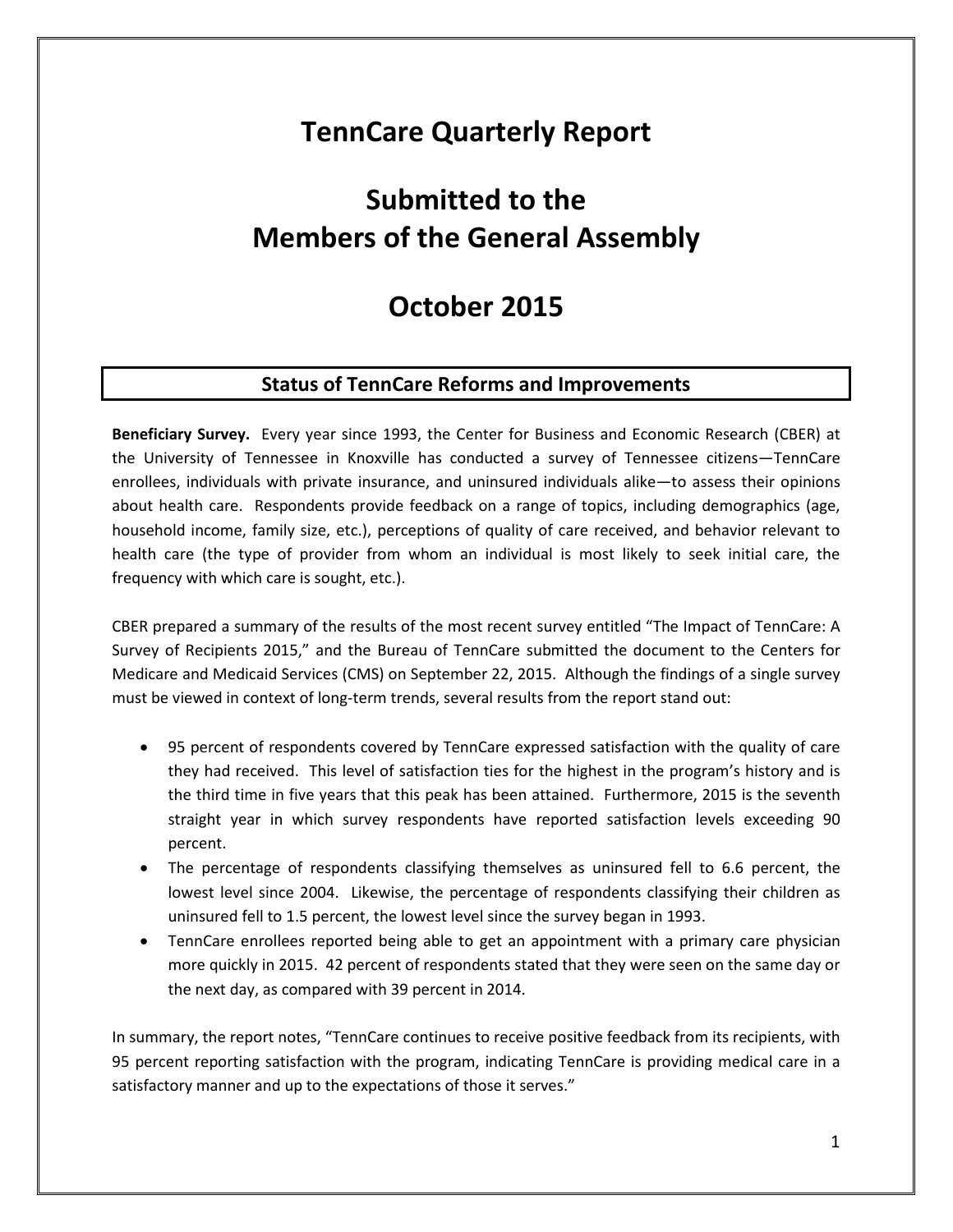# **TennCare Quarterly Report**

# **Submitted to the Members of the General Assembly**

## **October 2015**

### **Status of TennCare Reforms and Improvements**

**Beneficiary Survey.** Every year since 1993, the Center for Business and Economic Research (CBER) at the University of Tennessee in Knoxville has conducted a survey of Tennessee citizens—TennCare enrollees, individuals with private insurance, and uninsured individuals alike—to assess their opinions about health care. Respondents provide feedback on a range of topics, including demographics (age, household income, family size, etc.), perceptions of quality of care received, and behavior relevant to health care (the type of provider from whom an individual is most likely to seek initial care, the frequency with which care is sought, etc.).

CBER prepared a summary of the results of the most recent survey entitled "The Impact of TennCare: A Survey of Recipients 2015," and the Bureau of TennCare submitted the document to the Centers for Medicare and Medicaid Services (CMS) on September 22, 2015. Although the findings of a single survey must be viewed in context of long-term trends, several results from the report stand out:

- 95 percent of respondents covered by TennCare expressed satisfaction with the quality of care they had received. This level of satisfaction ties for the highest in the program's history and is the third time in five years that this peak has been attained. Furthermore, 2015 is the seventh straight year in which survey respondents have reported satisfaction levels exceeding 90 percent.
- The percentage of respondents classifying themselves as uninsured fell to 6.6 percent, the lowest level since 2004. Likewise, the percentage of respondents classifying their children as uninsured fell to 1.5 percent, the lowest level since the survey began in 1993.
- TennCare enrollees reported being able to get an appointment with a primary care physician more quickly in 2015. 42 percent of respondents stated that they were seen on the same day or the next day, as compared with 39 percent in 2014.

In summary, the report notes, "TennCare continues to receive positive feedback from its recipients, with 95 percent reporting satisfaction with the program, indicating TennCare is providing medical care in a satisfactory manner and up to the expectations of those it serves."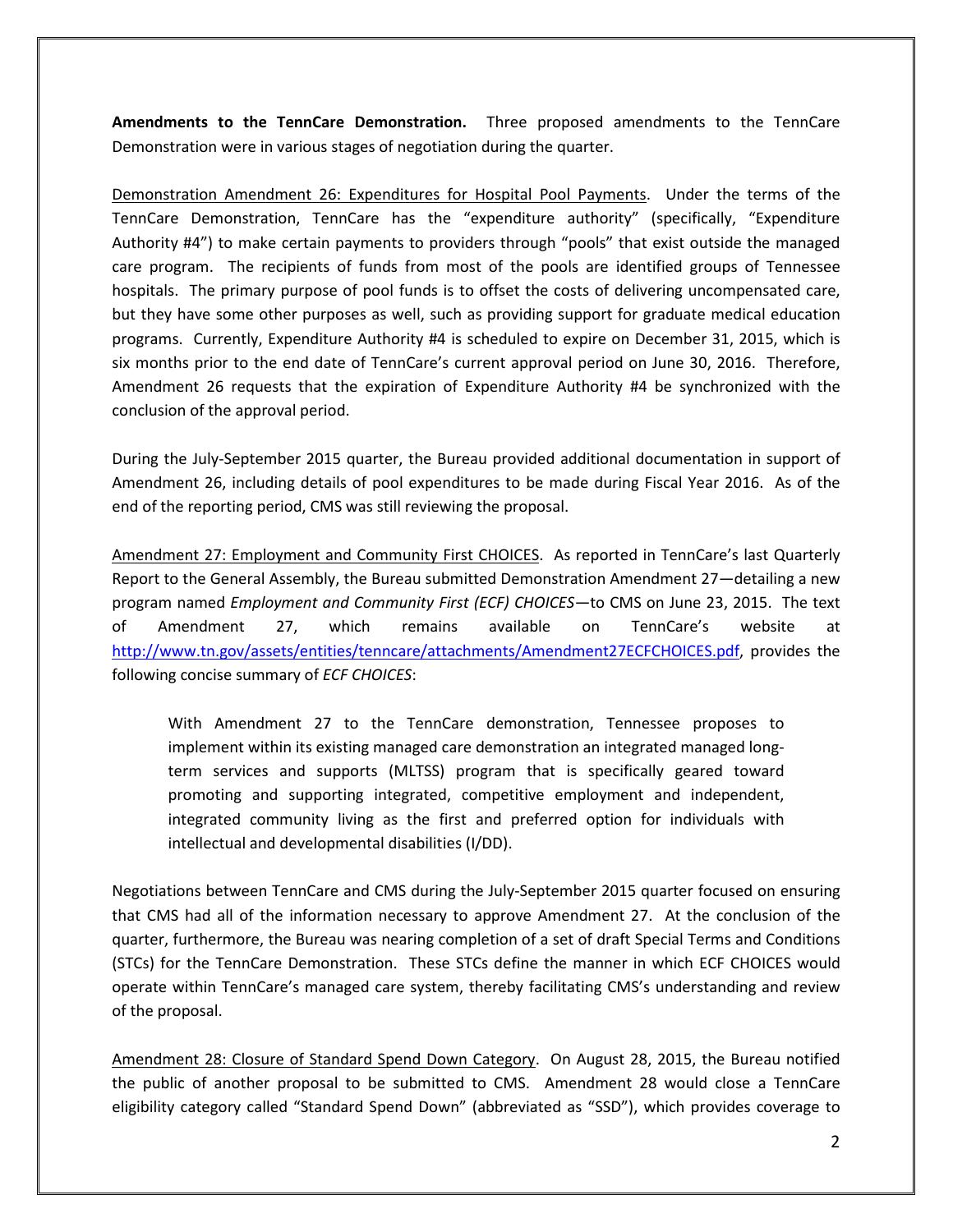**Amendments to the TennCare Demonstration.** Three proposed amendments to the TennCare Demonstration were in various stages of negotiation during the quarter.

Demonstration Amendment 26: Expenditures for Hospital Pool Payments.Under the terms of the TennCare Demonstration, TennCare has the "expenditure authority" (specifically, "Expenditure Authority #4") to make certain payments to providers through "pools" that exist outside the managed care program. The recipients of funds from most of the pools are identified groups of Tennessee hospitals. The primary purpose of pool funds is to offset the costs of delivering uncompensated care, but they have some other purposes as well, such as providing support for graduate medical education programs. Currently, Expenditure Authority #4 is scheduled to expire on December 31, 2015, which is six months prior to the end date of TennCare's current approval period on June 30, 2016. Therefore, Amendment 26 requests that the expiration of Expenditure Authority #4 be synchronized with the conclusion of the approval period.

During the July-September 2015 quarter, the Bureau provided additional documentation in support of Amendment 26, including details of pool expenditures to be made during Fiscal Year 2016. As of the end of the reporting period, CMS was still reviewing the proposal.

Amendment 27: Employment and Community First CHOICES. As reported in TennCare's last Quarterly Report to the General Assembly, the Bureau submitted Demonstration Amendment 27—detailing a new program named *Employment and Community First (ECF) CHOICES*—to CMS on June 23, 2015. The text of Amendment 27, which remains available on TennCare's website at [http://www.tn.gov/assets/entities/tenncare/attachments/Amendment27ECFCHOICES.pdf,](http://www.tn.gov/assets/entities/tenncare/attachments/Amendment27ECFCHOICES.pdf) provides the following concise summary of *ECF CHOICES*:

With Amendment 27 to the TennCare demonstration, Tennessee proposes to implement within its existing managed care demonstration an integrated managed longterm services and supports (MLTSS) program that is specifically geared toward promoting and supporting integrated, competitive employment and independent, integrated community living as the first and preferred option for individuals with intellectual and developmental disabilities (I/DD).

Negotiations between TennCare and CMS during the July-September 2015 quarter focused on ensuring that CMS had all of the information necessary to approve Amendment 27. At the conclusion of the quarter, furthermore, the Bureau was nearing completion of a set of draft Special Terms and Conditions (STCs) for the TennCare Demonstration. These STCs define the manner in which ECF CHOICES would operate within TennCare's managed care system, thereby facilitating CMS's understanding and review of the proposal.

Amendment 28: Closure of Standard Spend Down Category. On August 28, 2015, the Bureau notified the public of another proposal to be submitted to CMS. Amendment 28 would close a TennCare eligibility category called "Standard Spend Down" (abbreviated as "SSD"), which provides coverage to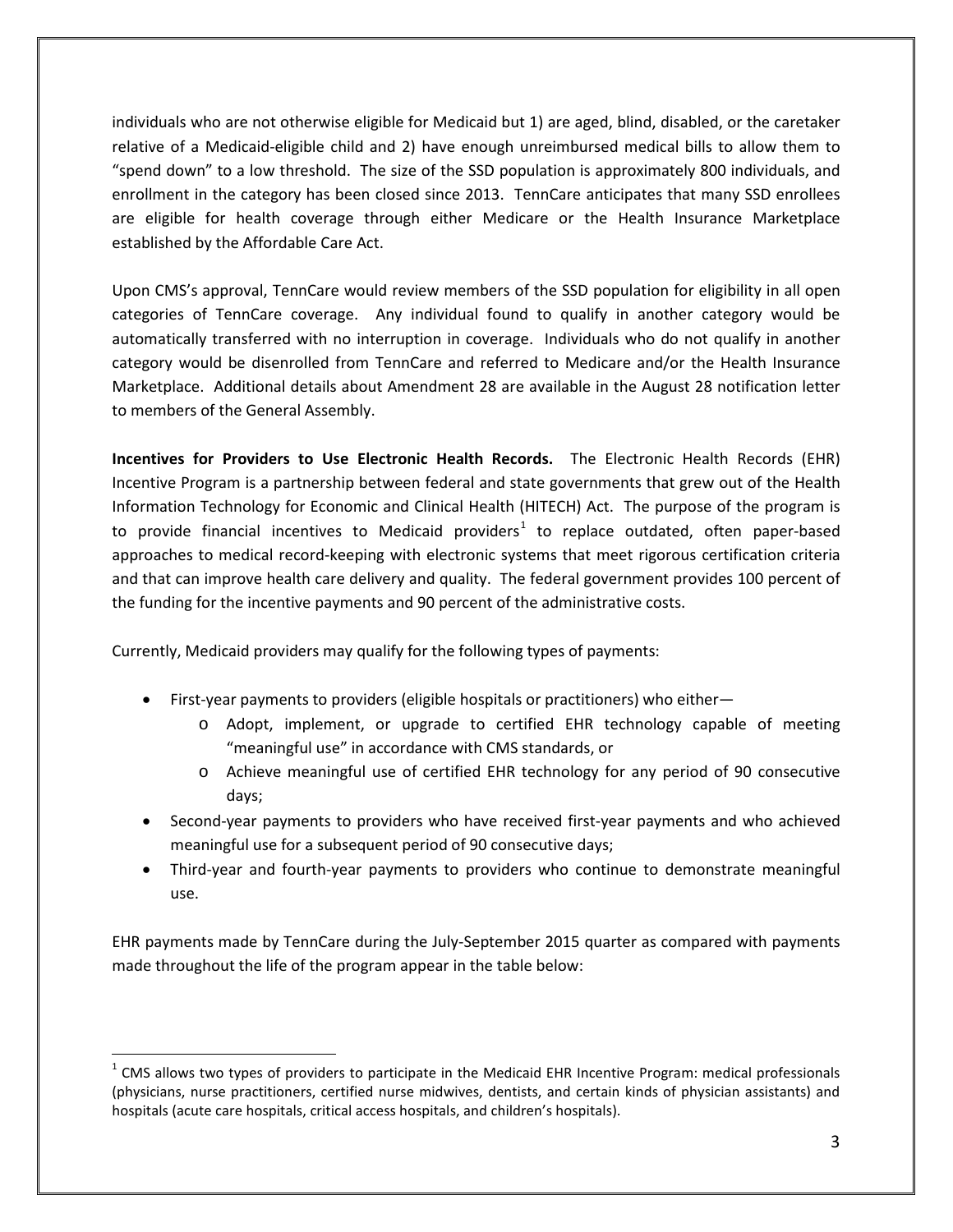individuals who are not otherwise eligible for Medicaid but 1) are aged, blind, disabled, or the caretaker relative of a Medicaid-eligible child and 2) have enough unreimbursed medical bills to allow them to "spend down" to a low threshold. The size of the SSD population is approximately 800 individuals, and enrollment in the category has been closed since 2013. TennCare anticipates that many SSD enrollees are eligible for health coverage through either Medicare or the Health Insurance Marketplace established by the Affordable Care Act.

Upon CMS's approval, TennCare would review members of the SSD population for eligibility in all open categories of TennCare coverage. Any individual found to qualify in another category would be automatically transferred with no interruption in coverage. Individuals who do not qualify in another category would be disenrolled from TennCare and referred to Medicare and/or the Health Insurance Marketplace. Additional details about Amendment 28 are available in the August 28 notification letter to members of the General Assembly.

**Incentives for Providers to Use Electronic Health Records.** The Electronic Health Records (EHR) Incentive Program is a partnership between federal and state governments that grew out of the Health Information Technology for Economic and Clinical Health (HITECH) Act. The purpose of the program is to provide financial incentives to Medicaid providers<sup>[1](#page-2-0)</sup> to replace outdated, often paper-based approaches to medical record-keeping with electronic systems that meet rigorous certification criteria and that can improve health care delivery and quality. The federal government provides 100 percent of the funding for the incentive payments and 90 percent of the administrative costs.

Currently, Medicaid providers may qualify for the following types of payments:

 $\overline{a}$ 

- First-year payments to providers (eligible hospitals or practitioners) who either
	- o Adopt, implement, or upgrade to certified EHR technology capable of meeting "meaningful use" in accordance with CMS standards, or
	- o Achieve meaningful use of certified EHR technology for any period of 90 consecutive days;
- Second-year payments to providers who have received first-year payments and who achieved meaningful use for a subsequent period of 90 consecutive days;
- Third-year and fourth-year payments to providers who continue to demonstrate meaningful use.

EHR payments made by TennCare during the July-September 2015 quarter as compared with payments made throughout the life of the program appear in the table below:

<span id="page-2-0"></span> $1$  CMS allows two types of providers to participate in the Medicaid EHR Incentive Program: medical professionals (physicians, nurse practitioners, certified nurse midwives, dentists, and certain kinds of physician assistants) and hospitals (acute care hospitals, critical access hospitals, and children's hospitals).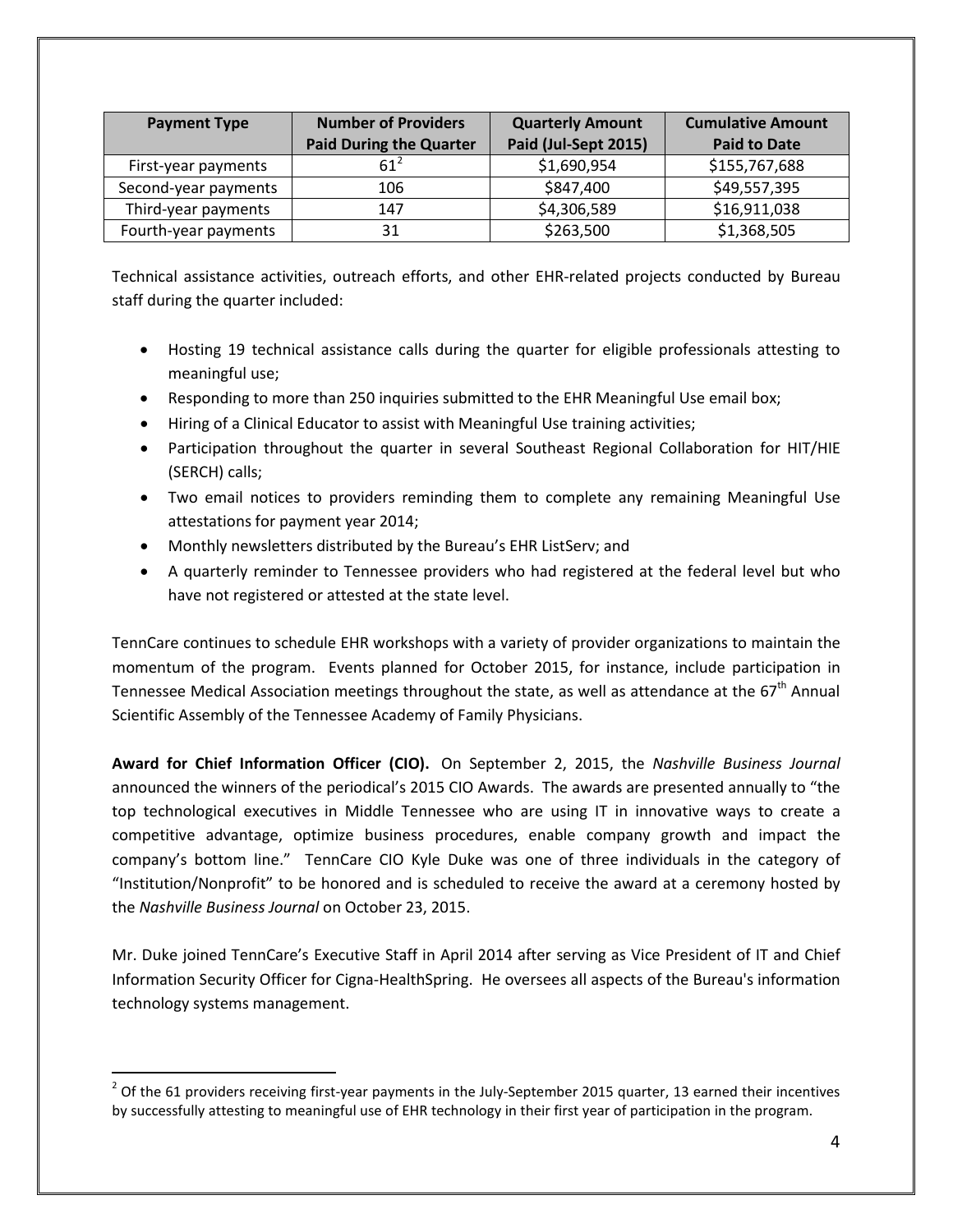| <b>Payment Type</b>  | <b>Number of Providers</b>     | <b>Quarterly Amount</b> | <b>Cumulative Amount</b> |
|----------------------|--------------------------------|-------------------------|--------------------------|
|                      | <b>Paid During the Quarter</b> | Paid (Jul-Sept 2015)    | <b>Paid to Date</b>      |
| First-year payments  | $61^{\circ}$                   | \$1,690,954             | \$155,767,688            |
| Second-year payments | 106                            | \$847,400               | \$49,557,395             |
| Third-year payments  | 147                            | \$4,306,589             | \$16,911,038             |
| Fourth-year payments | 31                             | \$263,500               | \$1,368,505              |

Technical assistance activities, outreach efforts, and other EHR-related projects conducted by Bureau staff during the quarter included:

- Hosting 19 technical assistance calls during the quarter for eligible professionals attesting to meaningful use;
- Responding to more than 250 inquiries submitted to the EHR Meaningful Use email box;
- Hiring of a Clinical Educator to assist with Meaningful Use training activities;
- Participation throughout the quarter in several Southeast Regional Collaboration for HIT/HIE (SERCH) calls;
- Two email notices to providers reminding them to complete any remaining Meaningful Use attestations for payment year 2014;
- Monthly newsletters distributed by the Bureau's EHR ListServ; and
- A quarterly reminder to Tennessee providers who had registered at the federal level but who have not registered or attested at the state level.

TennCare continues to schedule EHR workshops with a variety of provider organizations to maintain the momentum of the program. Events planned for October 2015, for instance, include participation in Tennessee Medical Association meetings throughout the state, as well as attendance at the  $67<sup>th</sup>$  Annual Scientific Assembly of the Tennessee Academy of Family Physicians.

**Award for Chief Information Officer (CIO).** On September 2, 2015, the *Nashville Business Journal* announced the winners of the periodical's 2015 CIO Awards. The awards are presented annually to "the top technological executives in Middle Tennessee who are using IT in innovative ways to create a competitive advantage, optimize business procedures, enable company growth and impact the company's bottom line." TennCare CIO Kyle Duke was one of three individuals in the category of "Institution/Nonprofit" to be honored and is scheduled to receive the award at a ceremony hosted by the *Nashville Business Journal* on October 23, 2015.

Mr. Duke joined TennCare's Executive Staff in April 2014 after serving as Vice President of IT and Chief Information Security Officer for Cigna-HealthSpring. He oversees all aspects of the Bureau's information technology systems management.

<span id="page-3-0"></span> $2$  Of the 61 providers receiving first-year payments in the July-September 2015 quarter, 13 earned their incentives by successfully attesting to meaningful use of EHR technology in their first year of participation in the program.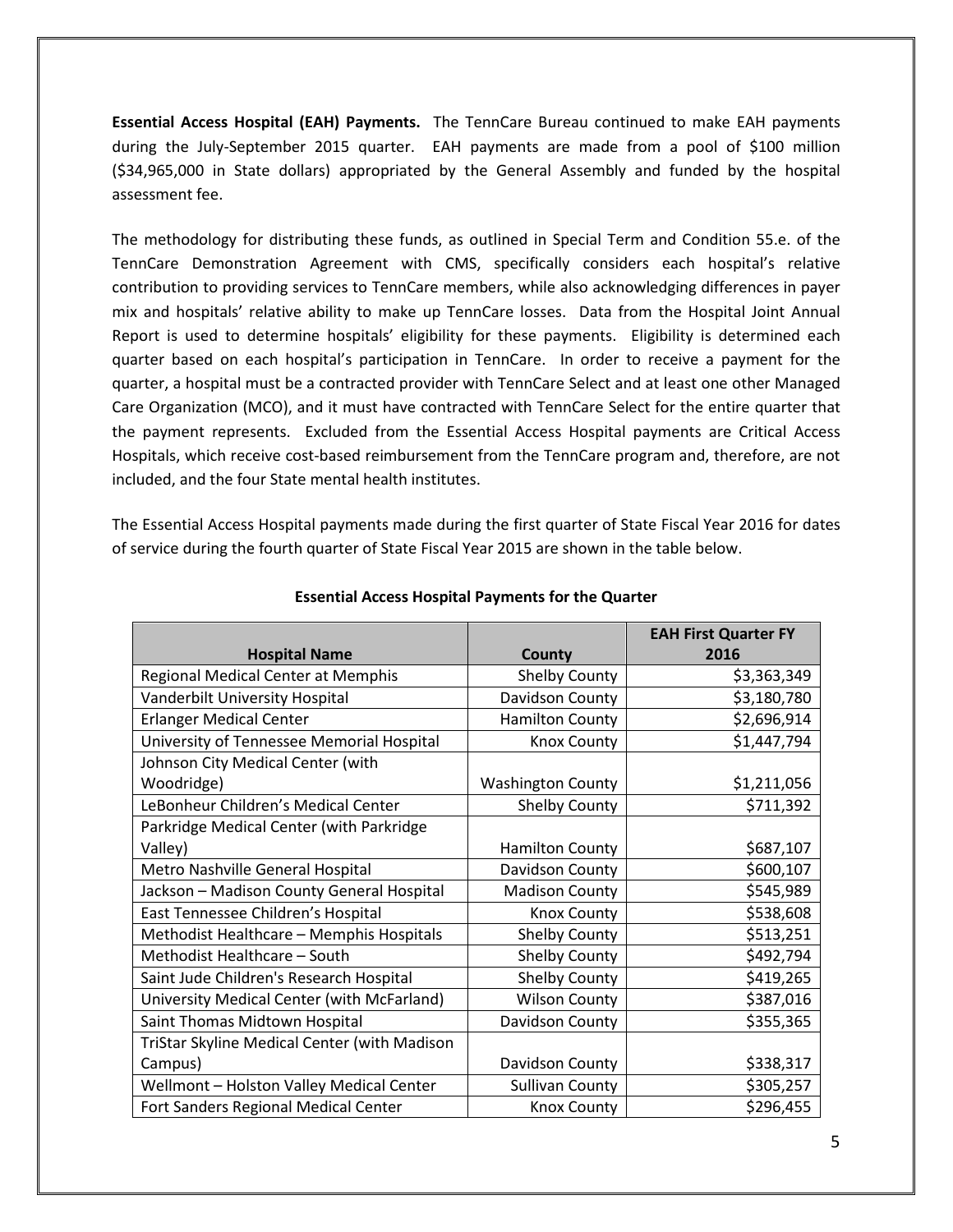**Essential Access Hospital (EAH) Payments.** The TennCare Bureau continued to make EAH payments during the July-September 2015 quarter. EAH payments are made from a pool of \$100 million (\$34,965,000 in State dollars) appropriated by the General Assembly and funded by the hospital assessment fee.

The methodology for distributing these funds, as outlined in Special Term and Condition 55.e. of the TennCare Demonstration Agreement with CMS, specifically considers each hospital's relative contribution to providing services to TennCare members, while also acknowledging differences in payer mix and hospitals' relative ability to make up TennCare losses. Data from the Hospital Joint Annual Report is used to determine hospitals' eligibility for these payments. Eligibility is determined each quarter based on each hospital's participation in TennCare. In order to receive a payment for the quarter, a hospital must be a contracted provider with TennCare Select and at least one other Managed Care Organization (MCO), and it must have contracted with TennCare Select for the entire quarter that the payment represents. Excluded from the Essential Access Hospital payments are Critical Access Hospitals, which receive cost-based reimbursement from the TennCare program and, therefore, are not included, and the four State mental health institutes.

The Essential Access Hospital payments made during the first quarter of State Fiscal Year 2016 for dates of service during the fourth quarter of State Fiscal Year 2015 are shown in the table below.

|                                              |                          | <b>EAH First Quarter FY</b> |
|----------------------------------------------|--------------------------|-----------------------------|
| <b>Hospital Name</b>                         | County                   | 2016                        |
| Regional Medical Center at Memphis           | <b>Shelby County</b>     | \$3,363,349                 |
| Vanderbilt University Hospital               | Davidson County          | \$3,180,780                 |
| <b>Erlanger Medical Center</b>               | <b>Hamilton County</b>   | \$2,696,914                 |
| University of Tennessee Memorial Hospital    | <b>Knox County</b>       | \$1,447,794                 |
| Johnson City Medical Center (with            |                          |                             |
| Woodridge)                                   | <b>Washington County</b> | \$1,211,056                 |
| LeBonheur Children's Medical Center          | Shelby County            | \$711,392                   |
| Parkridge Medical Center (with Parkridge     |                          |                             |
| Valley)                                      | <b>Hamilton County</b>   | \$687,107                   |
| Metro Nashville General Hospital             | Davidson County          | \$600,107                   |
| Jackson - Madison County General Hospital    | <b>Madison County</b>    | \$545,989                   |
| East Tennessee Children's Hospital           | <b>Knox County</b>       | \$538,608                   |
| Methodist Healthcare - Memphis Hospitals     | <b>Shelby County</b>     | \$513,251                   |
| Methodist Healthcare - South                 | <b>Shelby County</b>     | \$492,794                   |
| Saint Jude Children's Research Hospital      | <b>Shelby County</b>     | \$419,265                   |
| University Medical Center (with McFarland)   | <b>Wilson County</b>     | \$387,016                   |
| Saint Thomas Midtown Hospital                | Davidson County          | \$355,365                   |
| TriStar Skyline Medical Center (with Madison |                          |                             |
| Campus)                                      | Davidson County          | \$338,317                   |
| Wellmont - Holston Valley Medical Center     | <b>Sullivan County</b>   | \$305,257                   |
| Fort Sanders Regional Medical Center         | <b>Knox County</b>       | \$296,455                   |

#### **Essential Access Hospital Payments for the Quarter**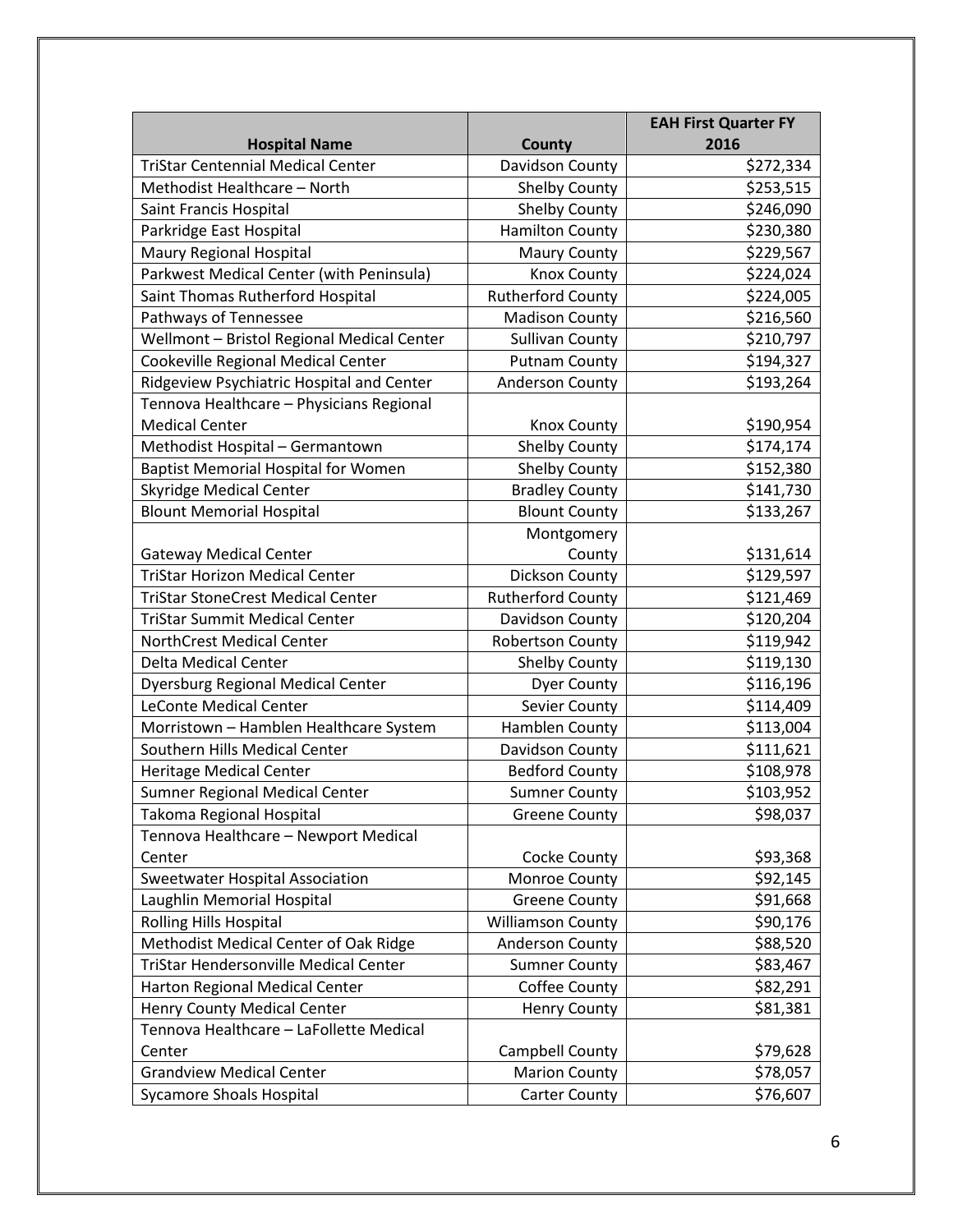|                                            |                          | <b>EAH First Quarter FY</b> |
|--------------------------------------------|--------------------------|-----------------------------|
| <b>Hospital Name</b>                       | County                   | 2016                        |
| <b>TriStar Centennial Medical Center</b>   | Davidson County          | \$272,334                   |
| Methodist Healthcare - North               | <b>Shelby County</b>     | \$253,515                   |
| Saint Francis Hospital                     | <b>Shelby County</b>     | \$246,090                   |
| Parkridge East Hospital                    | <b>Hamilton County</b>   | \$230,380                   |
| Maury Regional Hospital                    | <b>Maury County</b>      | \$229,567                   |
| Parkwest Medical Center (with Peninsula)   | <b>Knox County</b>       | \$224,024                   |
| Saint Thomas Rutherford Hospital           | <b>Rutherford County</b> | \$224,005                   |
| Pathways of Tennessee                      | <b>Madison County</b>    | \$216,560                   |
| Wellmont - Bristol Regional Medical Center | <b>Sullivan County</b>   | \$210,797                   |
| Cookeville Regional Medical Center         | <b>Putnam County</b>     | \$194,327                   |
| Ridgeview Psychiatric Hospital and Center  | <b>Anderson County</b>   | \$193,264                   |
| Tennova Healthcare - Physicians Regional   |                          |                             |
| <b>Medical Center</b>                      | <b>Knox County</b>       | \$190,954                   |
| Methodist Hospital - Germantown            | Shelby County            | \$174,174                   |
| Baptist Memorial Hospital for Women        | <b>Shelby County</b>     | \$152,380                   |
| <b>Skyridge Medical Center</b>             | <b>Bradley County</b>    | \$141,730                   |
| <b>Blount Memorial Hospital</b>            | <b>Blount County</b>     | \$133,267                   |
|                                            | Montgomery               |                             |
| <b>Gateway Medical Center</b>              | County                   | \$131,614                   |
| <b>TriStar Horizon Medical Center</b>      | Dickson County           | \$129,597                   |
| <b>TriStar StoneCrest Medical Center</b>   | <b>Rutherford County</b> | \$121,469                   |
| <b>TriStar Summit Medical Center</b>       | Davidson County          | \$120,204                   |
| NorthCrest Medical Center                  | <b>Robertson County</b>  | \$119,942                   |
| Delta Medical Center                       | <b>Shelby County</b>     | \$119,130                   |
| <b>Dyersburg Regional Medical Center</b>   | <b>Dyer County</b>       | \$116,196                   |
| <b>LeConte Medical Center</b>              | Sevier County            | \$114,409                   |
| Morristown - Hamblen Healthcare System     | Hamblen County           | \$113,004                   |
| Southern Hills Medical Center              | Davidson County          | \$111,621                   |
| Heritage Medical Center                    | <b>Bedford County</b>    | \$108,978                   |
| Sumner Regional Medical Center             | <b>Sumner County</b>     | \$103,952                   |
| Takoma Regional Hospital                   | <b>Greene County</b>     | \$98,037                    |
| Tennova Healthcare - Newport Medical       |                          |                             |
| Center                                     | Cocke County             | \$93,368                    |
| <b>Sweetwater Hospital Association</b>     | Monroe County            | \$92,145                    |
| Laughlin Memorial Hospital                 | <b>Greene County</b>     | \$91,668                    |
| <b>Rolling Hills Hospital</b>              | <b>Williamson County</b> | \$90,176                    |
| Methodist Medical Center of Oak Ridge      | <b>Anderson County</b>   | \$88,520                    |
| TriStar Hendersonville Medical Center      | <b>Sumner County</b>     | \$83,467                    |
| Harton Regional Medical Center             | Coffee County            | \$82,291                    |
| Henry County Medical Center                | <b>Henry County</b>      | \$81,381                    |
| Tennova Healthcare - LaFollette Medical    |                          |                             |
| Center                                     | Campbell County          | \$79,628                    |
| <b>Grandview Medical Center</b>            | <b>Marion County</b>     | \$78,057                    |
| <b>Sycamore Shoals Hospital</b>            | <b>Carter County</b>     | \$76,607                    |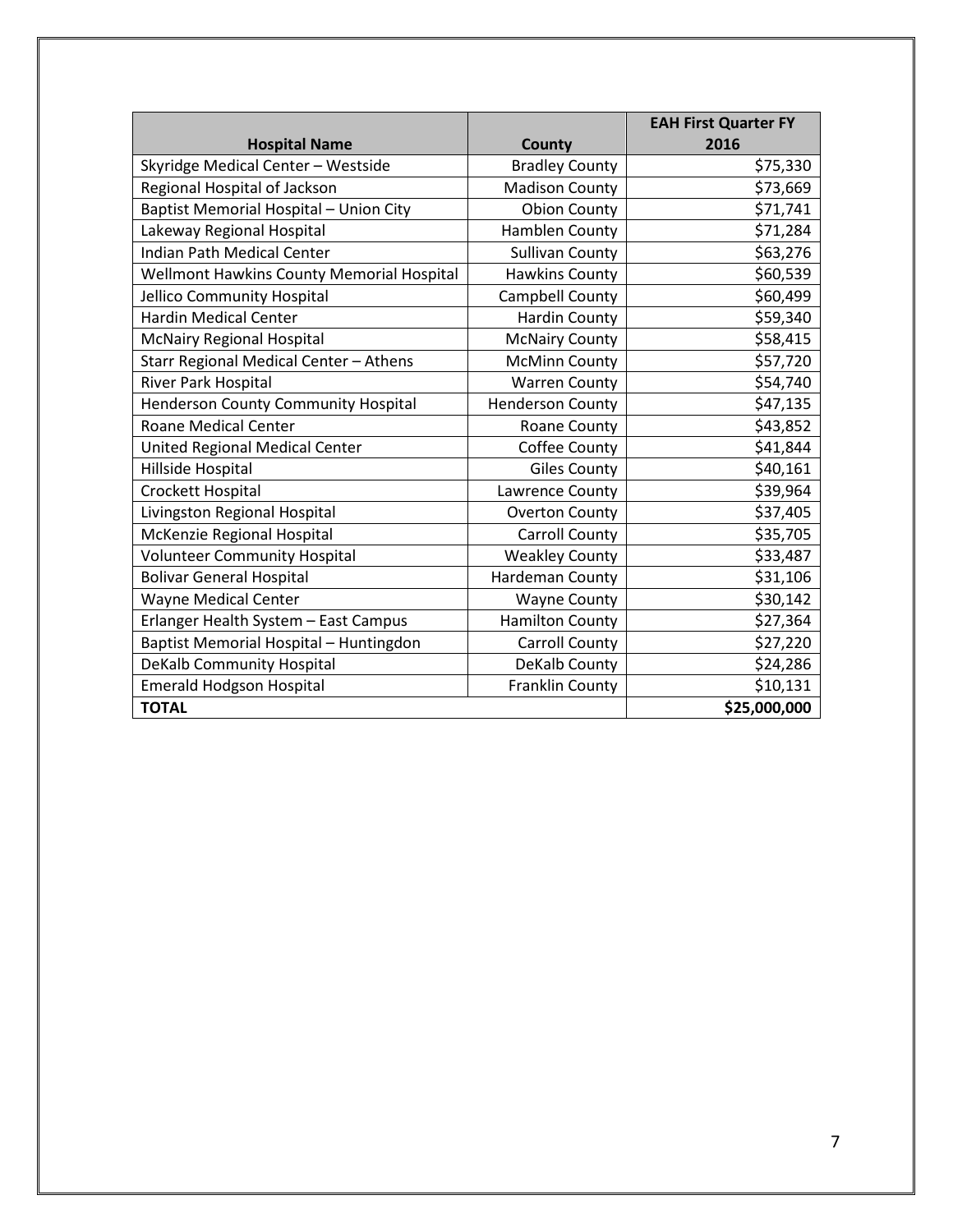|                                            |                         | <b>EAH First Quarter FY</b> |
|--------------------------------------------|-------------------------|-----------------------------|
| <b>Hospital Name</b>                       | County                  | 2016                        |
| Skyridge Medical Center - Westside         | <b>Bradley County</b>   | \$75,330                    |
| Regional Hospital of Jackson               | <b>Madison County</b>   | \$73,669                    |
| Baptist Memorial Hospital - Union City     | <b>Obion County</b>     | \$71,741                    |
| Lakeway Regional Hospital                  | Hamblen County          | \$71,284                    |
| <b>Indian Path Medical Center</b>          | <b>Sullivan County</b>  | \$63,276                    |
| Wellmont Hawkins County Memorial Hospital  | <b>Hawkins County</b>   | \$60,539                    |
| Jellico Community Hospital                 | Campbell County         | \$60,499                    |
| <b>Hardin Medical Center</b>               | <b>Hardin County</b>    | \$59,340                    |
| <b>McNairy Regional Hospital</b>           | <b>McNairy County</b>   | \$58,415                    |
| Starr Regional Medical Center - Athens     | <b>McMinn County</b>    | \$57,720                    |
| River Park Hospital                        | <b>Warren County</b>    | \$54,740                    |
| <b>Henderson County Community Hospital</b> | <b>Henderson County</b> | \$47,135                    |
| <b>Roane Medical Center</b>                | Roane County            | \$43,852                    |
| United Regional Medical Center             | Coffee County           | \$41,844                    |
| Hillside Hospital                          | <b>Giles County</b>     | \$40,161                    |
| Crockett Hospital                          | Lawrence County         | \$39,964                    |
| Livingston Regional Hospital               | <b>Overton County</b>   | \$37,405                    |
| McKenzie Regional Hospital                 | <b>Carroll County</b>   | \$35,705                    |
| <b>Volunteer Community Hospital</b>        | <b>Weakley County</b>   | \$33,487                    |
| <b>Bolivar General Hospital</b>            | Hardeman County         | \$31,106                    |
| Wayne Medical Center                       | <b>Wayne County</b>     | \$30,142                    |
| Erlanger Health System - East Campus       | <b>Hamilton County</b>  | \$27,364                    |
| Baptist Memorial Hospital - Huntingdon     | Carroll County          | \$27,220                    |
| DeKalb Community Hospital                  | DeKalb County           | \$24,286                    |
| Emerald Hodgson Hospital                   | Franklin County         | \$10,131                    |
| <b>TOTAL</b>                               |                         | \$25,000,000                |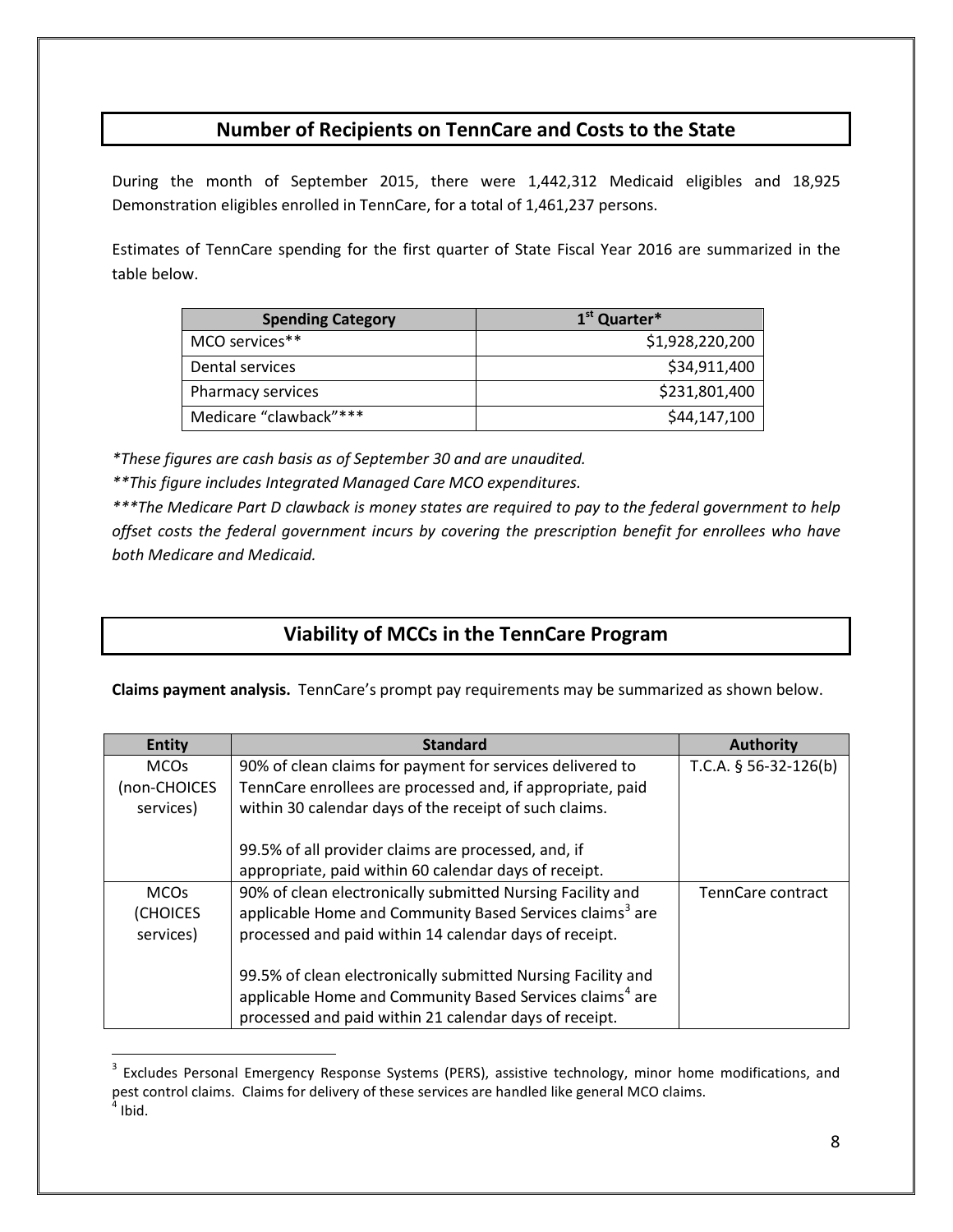## **Number of Recipients on TennCare and Costs to the State**

During the month of September 2015, there were 1,442,312 Medicaid eligibles and 18,925 Demonstration eligibles enrolled in TennCare, for a total of 1,461,237 persons.

Estimates of TennCare spending for the first quarter of State Fiscal Year 2016 are summarized in the table below.

| <b>Spending Category</b> | 1 <sup>st</sup> Quarter* |
|--------------------------|--------------------------|
| MCO services**           | \$1,928,220,200          |
| Dental services          | \$34,911,400             |
| Pharmacy services        | \$231,801,400            |
| Medicare "clawback"***   | \$44,147,100             |

*\*These figures are cash basis as of September 30 and are unaudited.*

*\*\*This figure includes Integrated Managed Care MCO expenditures.*

 $\overline{a}$ 

*\*\*\*The Medicare Part D clawback is money states are required to pay to the federal government to help offset costs the federal government incurs by covering the prescription benefit for enrollees who have both Medicare and Medicaid.*

## **Viability of MCCs in the TennCare Program**

**Claims payment analysis.** TennCare's prompt pay requirements may be summarized as shown below.

| <b>Entity</b> | <b>Standard</b>                                                      | <b>Authority</b>        |
|---------------|----------------------------------------------------------------------|-------------------------|
| <b>MCOs</b>   | 90% of clean claims for payment for services delivered to            | T.C.A. $§$ 56-32-126(b) |
| (non-CHOICES  | TennCare enrollees are processed and, if appropriate, paid           |                         |
| services)     | within 30 calendar days of the receipt of such claims.               |                         |
|               |                                                                      |                         |
|               | 99.5% of all provider claims are processed, and, if                  |                         |
|               | appropriate, paid within 60 calendar days of receipt.                |                         |
| <b>MCOs</b>   | 90% of clean electronically submitted Nursing Facility and           | TennCare contract       |
| (CHOICES      | applicable Home and Community Based Services claims <sup>3</sup> are |                         |
| services)     | processed and paid within 14 calendar days of receipt.               |                         |
|               |                                                                      |                         |
|               | 99.5% of clean electronically submitted Nursing Facility and         |                         |
|               | applicable Home and Community Based Services claims <sup>4</sup> are |                         |
|               | processed and paid within 21 calendar days of receipt.               |                         |

<span id="page-7-1"></span><span id="page-7-0"></span><sup>&</sup>lt;sup>3</sup> Excludes Personal Emergency Response Systems (PERS), assistive technology, minor home modifications, and pest control claims. Claims for delivery of these services are handled like general MCO claims.  $<sup>4</sup>$  Ibid.</sup>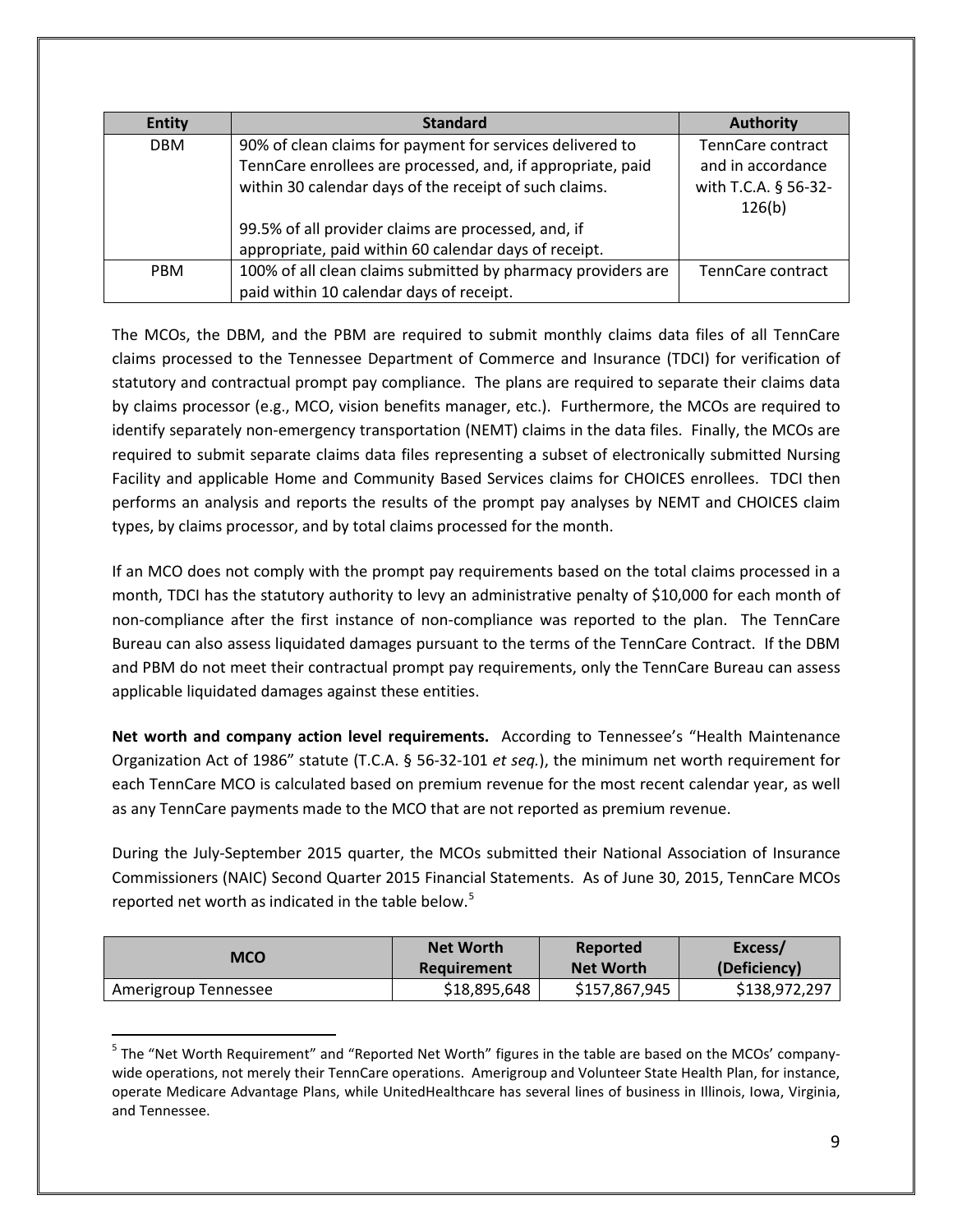| <b>Entity</b> | <b>Standard</b>                                              | <b>Authority</b>     |
|---------------|--------------------------------------------------------------|----------------------|
| <b>DBM</b>    | 90% of clean claims for payment for services delivered to    | TennCare contract    |
|               | TennCare enrollees are processed, and, if appropriate, paid  | and in accordance    |
|               | within 30 calendar days of the receipt of such claims.       | with T.C.A. § 56-32- |
|               |                                                              | 126(b)               |
|               | 99.5% of all provider claims are processed, and, if          |                      |
|               | appropriate, paid within 60 calendar days of receipt.        |                      |
| <b>PBM</b>    | 100% of all clean claims submitted by pharmacy providers are | TennCare contract    |
|               | paid within 10 calendar days of receipt.                     |                      |

The MCOs, the DBM, and the PBM are required to submit monthly claims data files of all TennCare claims processed to the Tennessee Department of Commerce and Insurance (TDCI) for verification of statutory and contractual prompt pay compliance. The plans are required to separate their claims data by claims processor (e.g., MCO, vision benefits manager, etc.). Furthermore, the MCOs are required to identify separately non-emergency transportation (NEMT) claims in the data files. Finally, the MCOs are required to submit separate claims data files representing a subset of electronically submitted Nursing Facility and applicable Home and Community Based Services claims for CHOICES enrollees. TDCI then performs an analysis and reports the results of the prompt pay analyses by NEMT and CHOICES claim types, by claims processor, and by total claims processed for the month.

If an MCO does not comply with the prompt pay requirements based on the total claims processed in a month, TDCI has the statutory authority to levy an administrative penalty of \$10,000 for each month of non-compliance after the first instance of non-compliance was reported to the plan. The TennCare Bureau can also assess liquidated damages pursuant to the terms of the TennCare Contract. If the DBM and PBM do not meet their contractual prompt pay requirements, only the TennCare Bureau can assess applicable liquidated damages against these entities.

**Net worth and company action level requirements.** According to Tennessee's "Health Maintenance Organization Act of 1986" statute (T.C.A. § 56-32-101 *et seq.*), the minimum net worth requirement for each TennCare MCO is calculated based on premium revenue for the most recent calendar year, as well as any TennCare payments made to the MCO that are not reported as premium revenue.

During the July-September 2015 quarter, the MCOs submitted their National Association of Insurance Commissioners (NAIC) Second Quarter 2015 Financial Statements. As of June 30, 2015, TennCare MCOs reported net worth as indicated in the table below.<sup>[5](#page-8-0)</sup>

| <b>MCO</b>           | <b>Net Worth</b> | Reported         | Excess/       |
|----------------------|------------------|------------------|---------------|
|                      | Requirement      | <b>Net Worth</b> | (Deficiency)  |
| Amerigroup Tennessee | \$18,895,648     | \$157,867,945    | \$138,972,297 |

<span id="page-8-0"></span><sup>&</sup>lt;sup>5</sup> The "Net Worth Requirement" and "Reported Net Worth" figures in the table are based on the MCOs' companywide operations, not merely their TennCare operations. Amerigroup and Volunteer State Health Plan, for instance, operate Medicare Advantage Plans, while UnitedHealthcare has several lines of business in Illinois, Iowa, Virginia, and Tennessee.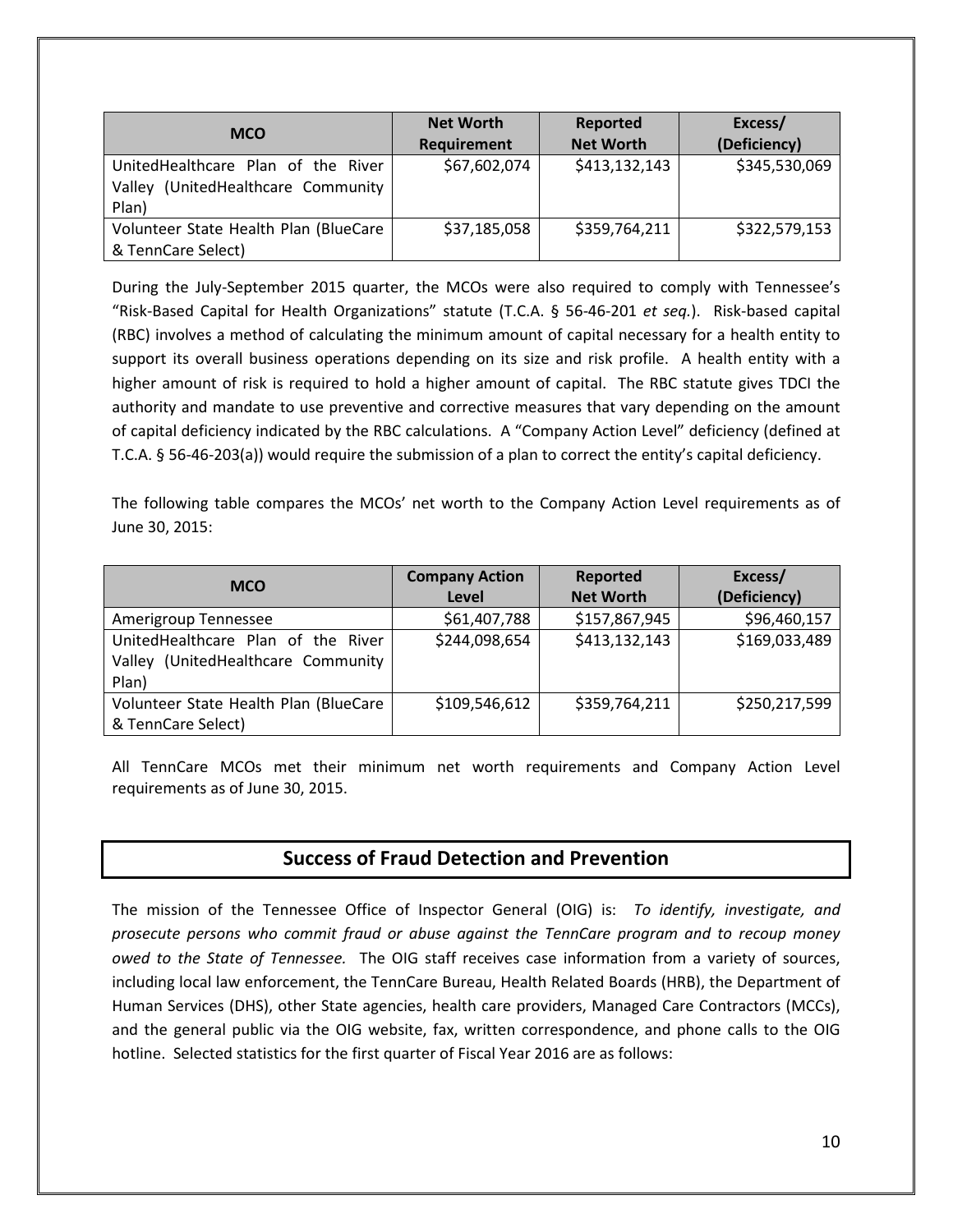| <b>MCO</b>                                                                           | <b>Net Worth</b><br>Requirement | Reported<br><b>Net Worth</b> | Excess/<br>(Deficiency) |
|--------------------------------------------------------------------------------------|---------------------------------|------------------------------|-------------------------|
| UnitedHealthcare Plan of the River<br>(UnitedHealthcare Community<br>Valley<br>Plan) | \$67,602,074                    | \$413,132,143                | \$345,530,069           |
| Volunteer State Health Plan (BlueCare<br>& TennCare Select)                          | \$37,185,058                    | \$359,764,211                | \$322,579,153           |

During the July-September 2015 quarter, the MCOs were also required to comply with Tennessee's "Risk-Based Capital for Health Organizations" statute (T.C.A. § 56-46-201 *et seq.*). Risk-based capital (RBC) involves a method of calculating the minimum amount of capital necessary for a health entity to support its overall business operations depending on its size and risk profile. A health entity with a higher amount of risk is required to hold a higher amount of capital. The RBC statute gives TDCI the authority and mandate to use preventive and corrective measures that vary depending on the amount of capital deficiency indicated by the RBC calculations. A "Company Action Level" deficiency (defined at T.C.A. § 56-46-203(a)) would require the submission of a plan to correct the entity's capital deficiency.

The following table compares the MCOs' net worth to the Company Action Level requirements as of June 30, 2015:

| <b>MCO</b>                            | <b>Company Action</b> | Reported         | Excess/       |
|---------------------------------------|-----------------------|------------------|---------------|
|                                       | Level                 | <b>Net Worth</b> | (Deficiency)  |
| Amerigroup Tennessee                  | \$61,407,788          | \$157,867,945    | \$96,460,157  |
| UnitedHealthcare Plan of the River    | \$244,098,654         | \$413,132,143    | \$169,033,489 |
| Valley (UnitedHealthcare Community    |                       |                  |               |
| Plan)                                 |                       |                  |               |
| Volunteer State Health Plan (BlueCare | \$109,546,612         | \$359,764,211    | \$250,217,599 |
| & TennCare Select)                    |                       |                  |               |

All TennCare MCOs met their minimum net worth requirements and Company Action Level requirements as of June 30, 2015.

## **Success of Fraud Detection and Prevention**

The mission of the Tennessee Office of Inspector General (OIG) is: *To identify, investigate, and prosecute persons who commit fraud or abuse against the TennCare program and to recoup money owed to the State of Tennessee.* The OIG staff receives case information from a variety of sources, including local law enforcement, the TennCare Bureau, Health Related Boards (HRB), the Department of Human Services (DHS), other State agencies, health care providers, Managed Care Contractors (MCCs), and the general public via the OIG website, fax, written correspondence, and phone calls to the OIG hotline. Selected statistics for the first quarter of Fiscal Year 2016 are as follows: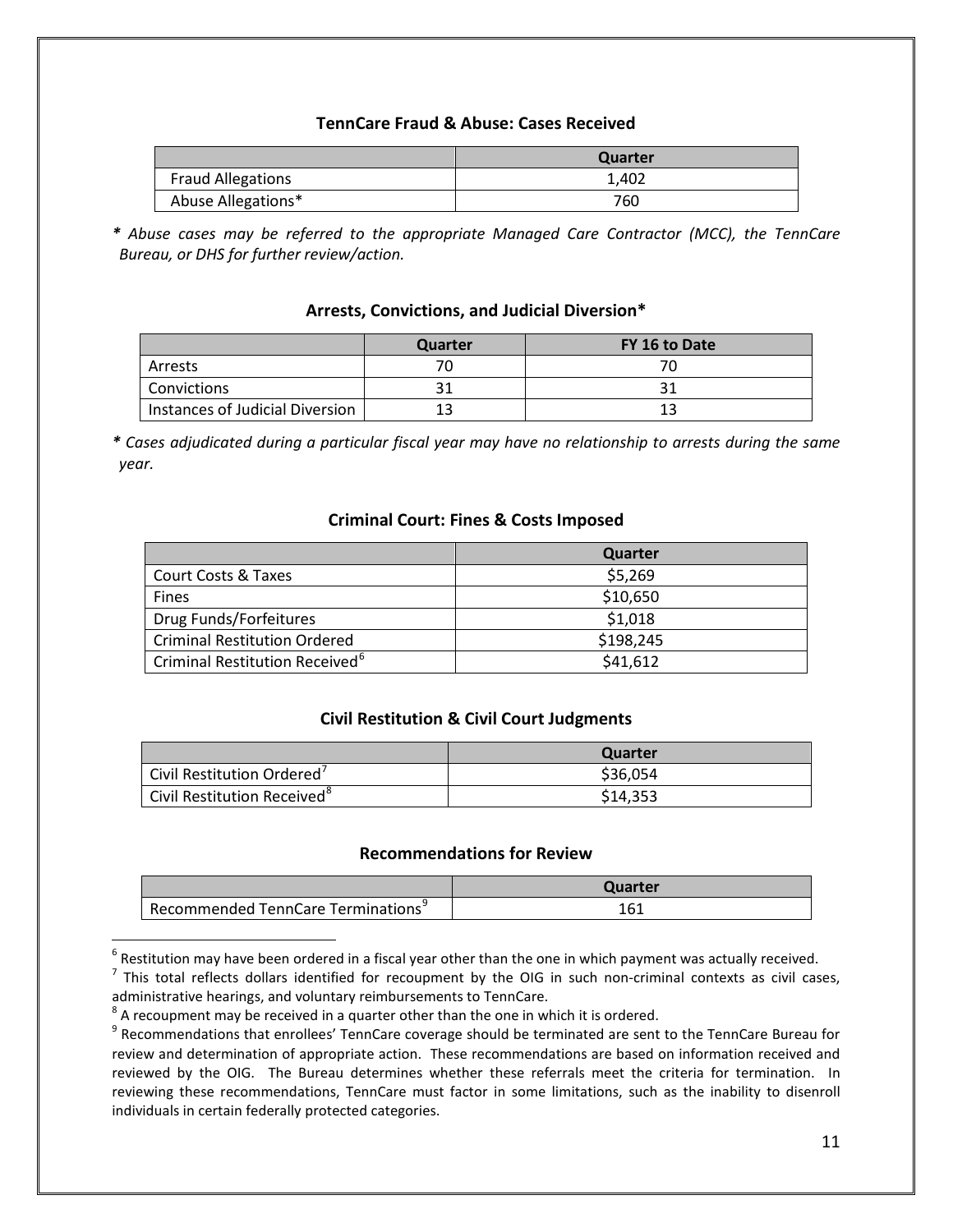#### **TennCare Fraud & Abuse: Cases Received**

|                          | Quarter |
|--------------------------|---------|
| <b>Fraud Allegations</b> | 1.402   |
| Abuse Allegations*       | 760     |

*\* Abuse cases may be referred to the appropriate Managed Care Contractor (MCC), the TennCare Bureau, or DHS for further review/action.*

#### **Arrests, Convictions, and Judicial Diversion\***

|                                 | <b>Quarter</b> | FY 16 to Date |
|---------------------------------|----------------|---------------|
| Arrests                         |                |               |
| Convictions                     |                |               |
| Instances of Judicial Diversion |                |               |

*\* Cases adjudicated during a particular fiscal year may have no relationship to arrests during the same year.*

#### **Criminal Court: Fines & Costs Imposed**

|                                                         | Quarter   |
|---------------------------------------------------------|-----------|
| <b>Court Costs &amp; Taxes</b>                          | \$5,269   |
| <b>Fines</b>                                            | \$10,650  |
| Drug Funds/Forfeitures                                  | \$1,018   |
| <b>Criminal Restitution Ordered</b>                     | \$198,245 |
| <sup>1</sup> Criminal Restitution Received <sup>6</sup> | \$41,612  |

#### **Civil Restitution & Civil Court Judgments**

|                                         | Quarter  |
|-----------------------------------------|----------|
| Civil Restitution Ordered'              | \$36,054 |
| Civil Restitution Received <sup>8</sup> | \$14,353 |

#### **Recommendations for Review**

|                                                | Quarter |
|------------------------------------------------|---------|
| Recommended TennCare Terminations <sup>9</sup> | 161     |

<span id="page-10-0"></span> $6$  Restitution may have been ordered in a fiscal year other than the one in which payment was actually received.

<span id="page-10-1"></span> $<sup>7</sup>$  This total reflects dollars identified for recoupment by the OIG in such non-criminal contexts as civil cases,</sup>

administrative hearings, and voluntary reimbursements to TennCare.<br><sup>8</sup> A recoupment may be received in a quarter other than the one in which it is ordered.

<span id="page-10-3"></span><span id="page-10-2"></span><sup>8</sup> A recoupment may be received in a quarter order than the one in which is ordered. 9 Recommendations that enrollees' TennCare coverage should be terminated are sent to the TennCare Bureau for review and determination of appropriate action. These recommendations are based on information received and reviewed by the OIG. The Bureau determines whether these referrals meet the criteria for termination. In reviewing these recommendations, TennCare must factor in some limitations, such as the inability to disenroll individuals in certain federally protected categories.